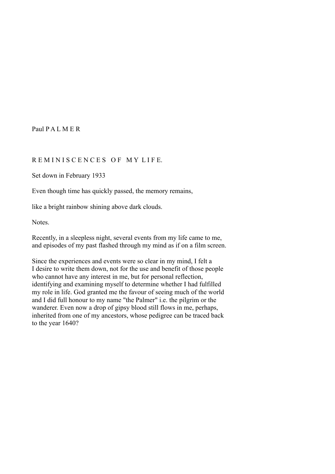Paul P A L M E R

# R E M I N I S C E N C E S O F M Y L I F E.

Set down in February 1933

Even though time has quickly passed, the memory remains,

like a bright rainbow shining above dark clouds.

Notes.

Recently, in a sleepless night, several events from my life came to me, and episodes of my past flashed through my mind as if on a film screen.

Since the experiences and events were so clear in my mind, I felt a I desire to write them down, not for the use and benefit of those people who cannot have any interest in me, but for personal reflection, identifying and examining myself to determine whether I had fulfilled my role in life. God granted me the favour of seeing much of the world and I did full honour to my name "the Palmer" i.e. the pilgrim or the wanderer. Even now a drop of gipsy blood still flows in me, perhaps, inherited from one of my ancestors, whose pedigree can be traced back to the year 1640?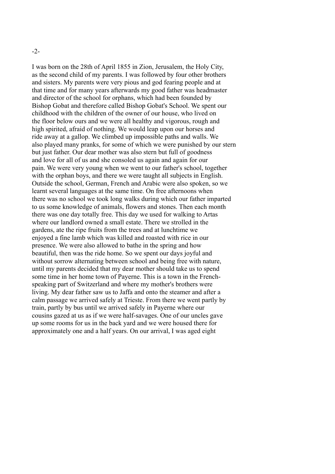### -2-

I was born on the 28th of April 1855 in Zion, Jerusalem, the Holy City, as the second child of my parents. I was followed by four other brothers and sisters. My parents were very pious and god fearing people and at that time and for many years afterwards my good father was headmaster and director of the school for orphans, which had been founded by Bishop Gobat and therefore called Bishop Gobat's School. We spent our childhood with the children of the owner of our house, who lived on the floor below ours and we were all healthy and vigorous, rough and high spirited, afraid of nothing. We would leap upon our horses and ride away at a gallop. We climbed up impossible paths and walls. We also played many pranks, for some of which we were punished by our stern but just father. Our dear mother was also stern but full of goodness and love for all of us and she consoled us again and again for our pain. We were very young when we went to our father's school, together with the orphan boys, and there we were taught all subjects in English. Outside the school, German, French and Arabic were also spoken, so we learnt several languages at the same time. On free afternoons when there was no school we took long walks during which our father imparted to us some knowledge of animals, flowers and stones. Then each month there was one day totally free. This day we used for walking to Artas where our landlord owned a small estate. There we strolled in the gardens, ate the ripe fruits from the trees and at lunchtime we enjoyed a fine lamb which was killed and roasted with rice in our presence. We were also allowed to bathe in the spring and how beautiful, then was the ride home. So we spent our days joyful and without sorrow alternating between school and being free with nature, until my parents decided that my dear mother should take us to spend some time in her home town of Payerne. This is a town in the Frenchspeaking part of Switzerland and where my mother's brothers were living. My dear father saw us to Jaffa and onto the steamer and after a calm passage we arrived safely at Trieste. From there we went partly by train, partly by bus until we arrived safely in Payerne where our cousins gazed at us as if we were half-savages. One of our uncles gave up some rooms for us in the back yard and we were housed there for approximately one and a half years. On our arrival, I was aged eight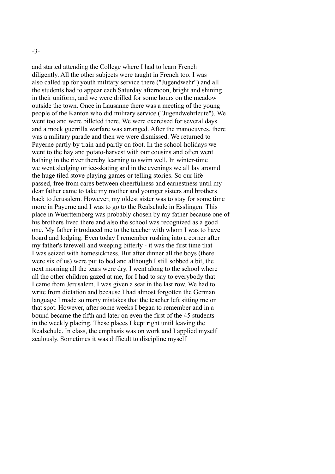and started attending the College where I had to learn French diligently. All the other subjects were taught in French too. I was also called up for youth military service there ("Jugendwehr") and all the students had to appear each Saturday afternoon, bright and shining in their uniform, and we were drilled for some hours on the meadow outside the town. Once in Lausanne there was a meeting of the young people of the Kanton who did military service ("Jugendwehrleute"). We went too and were billeted there. We were exercised for several days and a mock guerrilla warfare was arranged. After the manoeuvres, there was a military parade and then we were dismissed. We returned to Payerne partly by train and partly on foot. In the school-holidays we went to the hay and potato-harvest with our cousins and often went bathing in the river thereby learning to swim well. In winter-time we went sledging or ice-skating and in the evenings we all lay around the huge tiled stove playing games or telling stories. So our life passed, free from cares between cheerfulness and earnestness until my dear father came to take my mother and younger sisters and brothers back to Jerusalem. However, my oldest sister was to stay for some time more in Payerne and I was to go to the Realschule in Esslingen. This place in Wuerttemberg was probably chosen by my father because one of his brothers lived there and also the school was recognized as a good one. My father introduced me to the teacher with whom I was to have board and lodging. Even today I remember rushing into a corner after my father's farewell and weeping bitterly - it was the first time that I was seized with homesickness. But after dinner all the boys (there were six of us) were put to bed and although I still sobbed a bit, the next morning all the tears were dry. I went along to the school where all the other children gazed at me, for I had to say to everybody that I came from Jerusalem. I was given a seat in the last row. We had to write from dictation and because I had almost forgotten the German language I made so many mistakes that the teacher left sitting me on that spot. However, after some weeks I began to remember and in a bound became the fifth and later on even the first of the 45 students in the weekly placing. These places I kept right until leaving the Realschule. In class, the emphasis was on work and I applied myself zealously. Sometimes it was difficult to discipline myself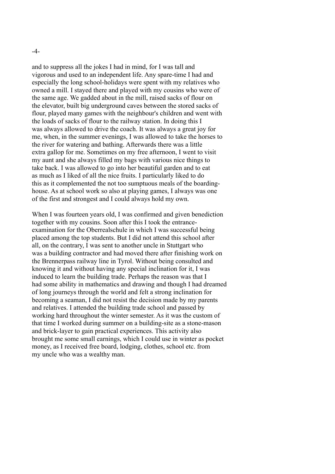and to suppress all the jokes I had in mind, for I was tall and vigorous and used to an independent life. Any spare-time I had and especially the long school-holidays were spent with my relatives who owned a mill. I stayed there and played with my cousins who were of the same age. We gadded about in the mill, raised sacks of flour on the elevator, built big underground caves between the stored sacks of flour, played many games with the neighbour's children and went with the loads of sacks of flour to the railway station. In doing this I was always allowed to drive the coach. It was always a great joy for me, when, in the summer evenings, I was allowed to take the horses to the river for watering and bathing. Afterwards there was a little extra gallop for me. Sometimes on my free afternoon, I went to visit my aunt and she always filled my bags with various nice things to take back. I was allowed to go into her beautiful garden and to eat as much as I liked of all the nice fruits. I particularly liked to do this as it complemented the not too sumptuous meals of the boardinghouse. As at school work so also at playing games, I always was one of the first and strongest and I could always hold my own.

When I was fourteen years old. I was confirmed and given benediction together with my cousins. Soon after this I took the entranceexamination for the Oberrealschule in which I was successful being placed among the top students. But I did not attend this school after all, on the contrary, I was sent to another uncle in Stuttgart who was a building contractor and had moved there after finishing work on the Brennerpass railway line in Tyrol. Without being consulted and knowing it and without having any special inclination for it, I was induced to learn the building trade. Perhaps the reason was that I had some ability in mathematics and drawing and though I had dreamed of long journeys through the world and felt a strong inclination for becoming a seaman, I did not resist the decision made by my parents and relatives. I attended the building trade school and passed by working hard throughout the winter semester. As it was the custom of that time I worked during summer on a building-site as a stone-mason and brick-layer to gain practical experiences. This activity also brought me some small earnings, which I could use in winter as pocket money, as I received free board, lodging, clothes, school etc. from my uncle who was a wealthy man.

-4-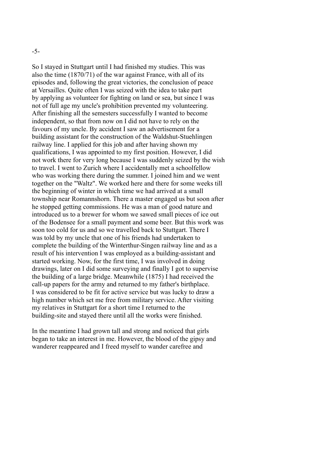-5-

So I stayed in Stuttgart until I had finished my studies. This was also the time (1870/71) of the war against France, with all of its episodes and, following the great victories, the conclusion of peace at Versailles. Quite often I was seized with the idea to take part by applying as volunteer for fighting on land or sea, but since I was not of full age my uncle's prohibition prevented my volunteering. After finishing all the semesters successfully I wanted to become independent, so that from now on I did not have to rely on the favours of my uncle. By accident I saw an advertisement for a building assistant for the construction of the Waldshut-Stuehlingen railway line. I applied for this job and after having shown my qualifications, I was appointed to my first position. However, I did not work there for very long because I was suddenly seized by the wish to travel. I went to Zurich where I accidentally met a schoolfellow who was working there during the summer. I joined him and we went together on the "Waltz". We worked here and there for some weeks till the beginning of winter in which time we had arrived at a small township near Romannshorn. There a master engaged us but soon after he stopped getting commissions. He was a man of good nature and introduced us to a brewer for whom we sawed small pieces of ice out of the Bodensee for a small payment and some beer. But this work was soon too cold for us and so we travelled back to Stuttgart. There I was told by my uncle that one of his friends had undertaken to complete the building of the Winterthur-Singen railway line and as a result of his intervention I was employed as a building-assistant and started working. Now, for the first time, I was involved in doing drawings, later on I did some surveying and finally I got to supervise the building of a large bridge. Meanwhile (1875) I had received the call-up papers for the army and returned to my father's birthplace. I was considered to be fit for active service but was lucky to draw a high number which set me free from military service. After visiting my relatives in Stuttgart for a short time I returned to the building-site and stayed there until all the works were finished.

In the meantime I had grown tall and strong and noticed that girls began to take an interest in me. However, the blood of the gipsy and wanderer reappeared and I freed myself to wander carefree and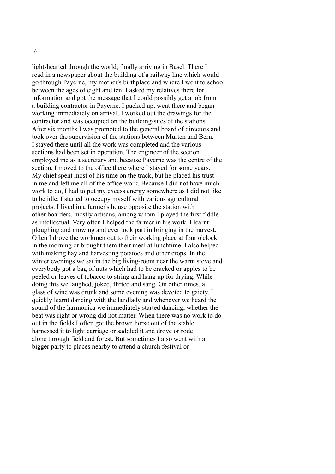-6-

light-hearted through the world, finally arriving in Basel. There I read in a newspaper about the building of a railway line which would go through Payerne, my mother's birthplace and where I went to school between the ages of eight and ten. I asked my relatives there for information and got the message that I could possibly get a job from a building contractor in Payerne. I packed up, went there and began working immediately on arrival. I worked out the drawings for the contractor and was occupied on the building-sites of the stations. After six months I was promoted to the general board of directors and took over the supervision of the stations between Murten and Bern. I stayed there until all the work was completed and the various sections had been set in operation. The engineer of the section employed me as a secretary and because Payerne was the centre of the section, I moved to the office there where I stayed for some years. My chief spent most of his time on the track, but he placed his trust in me and left me all of the office work. Because I did not have much work to do, I had to put my excess energy somewhere as I did not like to be idle. I started to occupy myself with various agricultural projects. I lived in a farmer's house opposite the station with other boarders, mostly artisans, among whom I played the first fiddle as intellectual. Very often I helped the farmer in his work. I learnt ploughing and mowing and ever took part in bringing in the harvest. Often I drove the workmen out to their working place at four o'clock in the morning or brought them their meal at lunchtime. I also helped with making hay and harvesting potatoes and other crops. In the winter evenings we sat in the big living-room near the warm stove and everybody got a bag of nuts which had to be cracked or apples to be peeled or leaves of tobacco to string and hang up for drying. While doing this we laughed, joked, flirted and sang. On other times, a glass of wine was drunk and some evening was devoted to gaiety. I quickly learnt dancing with the landlady and whenever we heard the sound of the harmonica we immediately started dancing, whether the beat was right or wrong did not matter. When there was no work to do out in the fields I often got the brown horse out of the stable, harnessed it to light carriage or saddled it and drove or rode alone through field and forest. But sometimes I also went with a bigger party to places nearby to attend a church festival or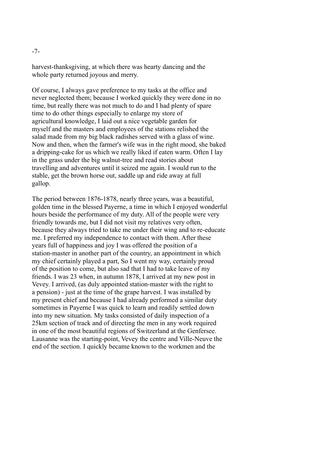harvest-thanksgiving, at which there was hearty dancing and the whole party returned joyous and merry.

Of course, I always gave preference to my tasks at the office and never neglected them; because I worked quickly they were done in no time, but really there was not much to do and I had plenty of spare time to do other things especially to enlarge my store of agricultural knowledge, I laid out a nice vegetable garden for myself and the masters and employees of the stations relished the salad made from my big black radishes served with a glass of wine. Now and then, when the farmer's wife was in the right mood, she baked a dripping-cake for us which we really liked if eaten warm. Often I lay in the grass under the big walnut-tree and read stories about travelling and adventures until it seized me again. I would run to the stable, get the brown horse out, saddle up and ride away at full gallop.

The period between 1876-1878, nearly three years, was a beautiful, golden time in the blessed Payerne, a time in which I enjoyed wonderful hours beside the performance of my duty. All of the people were very friendly towards me, but I did not visit my relatives very often, because they always tried to take me under their wing and to re-educate me. I preferred my independence to contact with them. After these years full of happiness and joy I was offered the position of a station-master in another part of the country, an appointment in which my chief certainly played a part, So I went my way, certainly proud of the position to come, but also sad that I had to take leave of my friends. I was 23 when, in autumn 1878, I arrived at my new post in Vevey. I arrived, (as duly appointed station-master with the right to a pension) - just at the time of the grape harvest. I was installed by my present chief and because I had already performed a similar duty sometimes in Payerne I was quick to learn and readily settled down into my new situation. My tasks consisted of daily inspection of a 25km section of track and of directing the men in any work required in one of the most beautiful regions of Switzerland at the Genfersee. Lausanne was the starting-point, Vevey the centre and Ville-Neuve the end of the section. I quickly became known to the workmen and the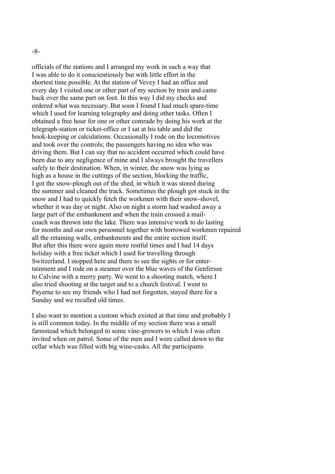-8-

officials of the stations and I arranged my work in such a way that I was able to do it conscientiously but with little effort in the shortest time possible. At the station of Vevey I had an office and every day I visited one or other part of my section by train and came back over the same part on foot. In this way I did my checks and ordered what was necessary. But soon I found I had much spare-time which I used for learning telegraphy and doing other tasks. Often I obtained a free hour for one or other comrade by doing his work at the telegraph-station or ticket-office or I sat at his table and did the book-keeping or calculations. Occasionally I rode on the locomotives and took over the controls; the passengers having no idea who was driving them. But I can say that no accident occurred which could have been due to any negligence of mine and I always brought the travellers safely to their destination. When, in winter, the snow was lying as high as a house in the cuttings of the section, blocking the traffic, I got the snow-plough out of the shed, in which it was stored during the summer and cleaned the track. Sometimes the plough got stuck in the snow and I had to quickly fetch the workmen with their snow-shovel, whether it was day or night. Also on night a storm had washed away a large part of the embankment and when the train crossed a mailcoach was thrown into the lake. There was intensive work to do lasting for months and our own personnel together with borrowed workmen repaired all the retaining walls, embankments and the entire section itself. But after this there were again more restful times and I had 14 days holiday with a free ticket which I used for travelling through Switzerland. I stopped here and there to see the sights or for entertainment and I rode on a steamer over the blue waves of the Genfersee to Calvine with a merry party. We went to a shooting match, where I also tried shooting at the target and to a church festival. I went to Payerne to see my friends who I had not forgotten, stayed there for a Sunday and we recalled old times.

I also want to mention a custom which existed at that time and probably I is still common today. In the middle of my section there was a small farmstead which belonged to some vine-growers to which I was often invited when on patrol. Some of the men and I were called down to the cellar which was filled with big wine-casks. All the participants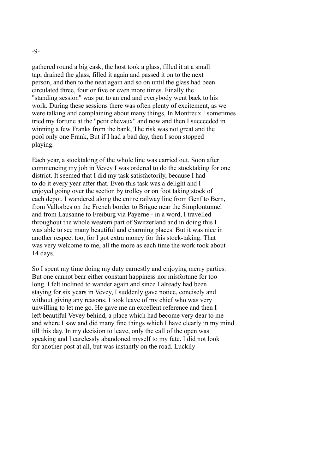gathered round a big cask, the host took a glass, filled it at a small tap, drained the glass, filled it again and passed it on to the next person, and then to the neat again and so on until the glass had been circulated three, four or five or even more times. Finally the "standing session" was put to an end and everybody went back to his work. During these sessions there was often plenty of excitement, as we were talking and complaining about many things, In Montreux I sometimes tried my fortune at the "petit chevaux" and now and then I succeeded in winning a few Franks from the bank, The risk was not great and the pool only one Frank, But if I had a bad day, then I soon stopped playing.

Each year, a stocktaking of the whole line was carried out. Soon after commencing my job in Vevey I was ordered to do the stocktaking for one district. It seemed that I did my task satisfactorily, because I had to do it every year after that. Even this task was a delight and I enjoyed going over the section by trolley or on foot taking stock of each depot. I wandered along the entire railway line from Genf to Bern, from Vallorbes on the French border to Brigue near the Simplontunnel and from Lausanne to Freiburg via Payerne - in a word, I travelled throughout the whole western part of Switzerland and in doing this I was able to see many beautiful and charming places. But it was nice in another respect too, for I got extra money for this stock-taking. That was very welcome to me, all the more as each time the work took about 14 days.

So I spent my time doing my duty earnestly and enjoying merry parties. But one cannot bear either constant happiness nor misfortune for too long. I felt inclined to wander again and since I already had been staying for six years in Vevey, I suddenly gave notice, concisely and without giving any reasons. I took leave of my chief who was very unwilling to let me go. He gave me an excellent reference and then I left beautiful Vevey behind, a place which had become very dear to me and where I saw and did many fine things which I have clearly in my mind till this day. In my decision to leave, only the call of the open was speaking and I carelessly abandoned myself to my fate. I did not look for another post at all, but was instantly on the road. Luckily

-9-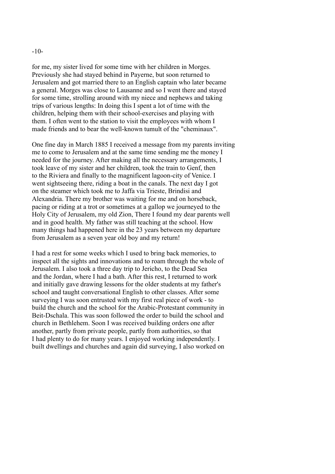#### -10-

for me, my sister lived for some time with her children in Morges. Previously she had stayed behind in Payerne, but soon returned to Jerusalem and got married there to an English captain who later became a general. Morges was close to Lausanne and so I went there and stayed for some time, strolling around with my niece and nephews and taking trips of various lengths: In doing this I spent a lot of time with the children, helping them with their school-exercises and playing with them. I often went to the station to visit the employees with whom I made friends and to bear the well-known tumult of the "cheminaux".

One fine day in March 1885 I received a message from my parents inviting me to come to Jerusalem and at the same time sending me the money I needed for the journey. After making all the necessary arrangements, I took leave of my sister and her children, took the train to Genf, then to the Riviera and finally to the magnificent lagoon-city of Venice. I went sightseeing there, riding a boat in the canals. The next day I got on the steamer which took me to Jaffa via Trieste, Brindisi and Alexandria. There my brother was waiting for me and on horseback, pacing or riding at a trot or sometimes at a gallop we journeyed to the Holy City of Jerusalem, my old Zion, There I found my dear parents well and in good health. My father was still teaching at the school. How many things had happened here in the 23 years between my departure from Jerusalem as a seven year old boy and my return!

I had a rest for some weeks which I used to bring back memories, to inspect all the sights and innovations and to roam through the whole of Jerusalem. I also took a three day trip to Jericho, to the Dead Sea and the Jordan, where I had a bath. After this rest, I returned to work and initially gave drawing lessons for the older students at my father's school and taught conversational English to other classes. After some surveying I was soon entrusted with my first real piece of work - to build the church and the school for the Arabic-Protestant community in Beit-Dschala. This was soon followed the order to build the school and church in Bethlehem. Soon I was received building orders one after another, partly from private people, partly from authorities, so that I had plenty to do for many years. I enjoyed working independently. I built dwellings and churches and again did surveying, I also worked on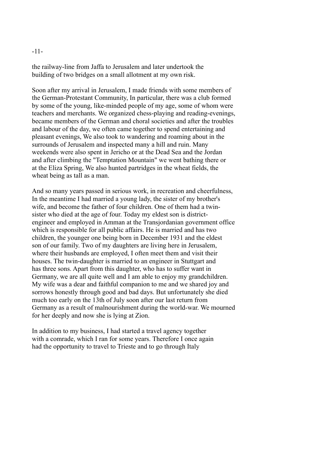### -11-

the railway-line from Jaffa to Jerusalem and later undertook the building of two bridges on a small allotment at my own risk.

Soon after my arrival in Jerusalem, I made friends with some members of the German-Protestant Community, In particular, there was a club formed by some of the young, like-minded people of my age, some of whom were teachers and merchants. We organized chess-playing and reading-evenings, became members of the German and choral societies and after the troubles and labour of the day, we often came together to spend entertaining and pleasant evenings, We also took to wandering and roaming about in the surrounds of Jerusalem and inspected many a hill and ruin. Many weekends were also spent in Jericho or at the Dead Sea and the Jordan and after climbing the "Temptation Mountain" we went bathing there or at the Eliza Spring, We also hunted partridges in the wheat fields, the wheat being as tall as a man.

And so many years passed in serious work, in recreation and cheerfulness, In the meantime I had married a young lady, the sister of my brother's wife, and become the father of four children. One of them had a twinsister who died at the age of four. Today my eldest son is districtengineer and employed in Amman at the Transjordanian government office which is responsible for all public affairs. He is married and has two children, the younger one being born in December 1931 and the eldest son of our family. Two of my daughters are living here in Jerusalem, where their husbands are employed, I often meet them and visit their houses. The twin-daughter is married to an engineer in Stuttgart and has three sons. Apart from this daughter, who has to suffer want in Germany, we are all quite well and I am able to enjoy my grandchildren. My wife was a dear and faithful companion to me and we shared joy and sorrows honestly through good and bad days. But unfortunately she died much too early on the 13th of July soon after our last return from Germany as a result of malnourishment during the world-war. We mourned for her deeply and now she is lying at Zion.

In addition to my business, I had started a travel agency together with a comrade, which I ran for some years. Therefore I once again had the opportunity to travel to Trieste and to go through Italy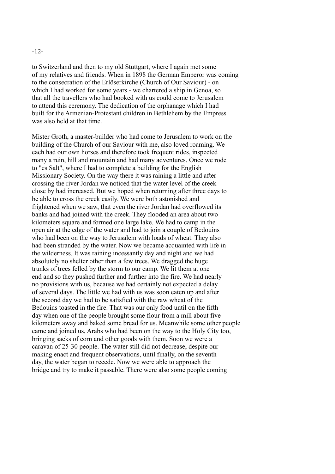## -12-

to Switzerland and then to my old Stuttgart, where I again met some of my relatives and friends. When in 1898 the German Emperor was coming to the consecration of the Erlöserkirche (Church of Our Saviour) - on which I had worked for some years - we chartered a ship in Genoa, so that all the travellers who had booked with us could come to Jerusalem to attend this ceremony. The dedication of the orphanage which I had built for the Armenian-Protestant children in Bethlehem by the Empress was also held at that time.

Mister Groth, a master-builder who had come to Jerusalem to work on the building of the Church of our Saviour with me, also loved roaming. We each had our own horses and therefore took frequent rides, inspected many a ruin, hill and mountain and had many adventures. Once we rode to "es Salt", where I had to complete a building for the English Missionary Society. On the way there it was raining a little and after crossing the river Jordan we noticed that the water level of the creek close by had increased. But we hoped when returning after three days to be able to cross the creek easily. We were both astonished and frightened when we saw, that even the river Jordan had overflowed its banks and had joined with the creek. They flooded an area about two kilometers square and formed one large lake. We had to camp in the open air at the edge of the water and had to join a couple of Bedouins who had been on the way to Jerusalem with loads of wheat. They also had been stranded by the water. Now we became acquainted with life in the wilderness. It was raining incessantly day and night and we had absolutely no shelter other than a few trees. We dragged the huge trunks of trees felled by the storm to our camp. We lit them at one end and so they pushed further and further into the fire. We had nearly no provisions with us, because we had certainly not expected a delay of several days. The little we had with us was soon eaten up and after the second day we had to be satisfied with the raw wheat of the Bedouins toasted in the fire. That was our only food until on the fifth day when one of the people brought some flour from a mill about five kilometers away and baked some bread for us. Meanwhile some other people came and joined us, Arabs who had been on the way to the Holy City too, bringing sacks of corn and other goods with them. Soon we were a caravan of 25-30 people. The water still did not decrease, despite our making enact and frequent observations, until finally, on the seventh day, the water began to recede. Now we were able to approach the bridge and try to make it passable. There were also some people coming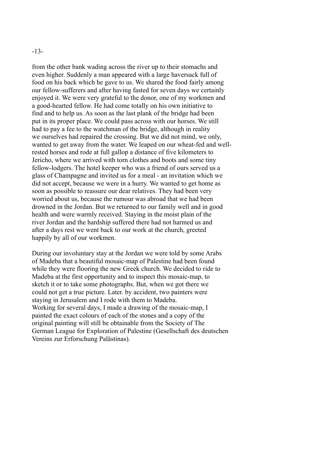### -13-

from the other bank wading across the river up to their stomachs and even higher. Suddenly a man appeared with a large haversack full of food on his back which he gave to us. We shared the food fairly among our fellow-sufferers and after having fasted for seven days we certainly enjoyed it. We were very grateful to the donor, one of my workmen and a good-hearted fellow. He had come totally on his own initiative to find and to help us. As soon as the last plank of the bridge had been put in its proper place. We could pass across with our horses. We still had to pay a fee to the watchman of the bridge, although in reality we ourselves had repaired the crossing. But we did not mind, we only, wanted to get away from the water. We leaped on our wheat-fed and wellrested horses and rode at full gallop a distance of five kilometers to Jericho, where we arrived with torn clothes and boots and some tiny fellow-lodgers. The hotel keeper who was a friend of ours served us a glass of Champagne and invited us for a meal - an invitation which we did not accept, because we were in a hurry. We wanted to get home as soon as possible to reassure our dear relatives. They had been very worried about us, because the rumour was abroad that we had been drowned in the Jordan. But we returned to our family well and in good health and were warmly received. Staying in the moist plain of the river Jordan and the hardship suffered there had not harmed us and after a days rest we went back to our work at the church, greeted happily by all of our workmen.

During our involuntary stay at the Jordan we were told by some Arabs of Madeba that a beautiful mosaic-map of Palestine had been found while they were flooring the new Greek church. We decided to ride to Madeba at the first opportunity and to inspect this mosaic-map, to sketch it or to take some photographs. But, when we got there we could not get a true picture. Later. by accident, two painters were staying in Jerusalem and I rode with them to Madeba. Working for several days, I made a drawing of the mosaic-map, I painted the exact colours of each of the stones and a copy of the original painting will still be obtainable from the Society of The German League for Exploration of Palestine (Gesellschaft des deutschen Vereins zur Erforschung Palästinas).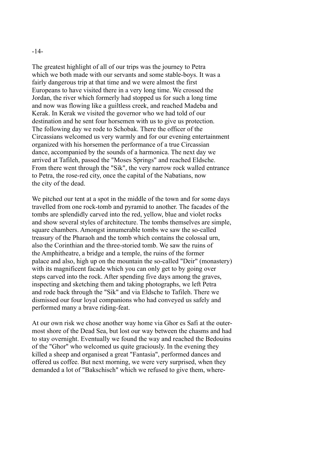#### -14-

The greatest highlight of all of our trips was the journey to Petra which we both made with our servants and some stable-boys. It was a fairly dangerous trip at that time and we were almost the first Europeans to have visited there in a very long time. We crossed the Jordan, the river which formerly had stopped us for such a long time and now was flowing like a guiltless creek, and reached Madeba and Kerak. In Kerak we visited the governor who we had told of our destination and he sent four horsemen with us to give us protection. The following day we rode to Schobak. There the officer of the Circassians welcomed us very warmly and for our evening entertainment organized with his horsemen the performance of a true Circassian dance, accompanied by the sounds of a harmonica. The next day we arrived at Tafileh, passed the "Moses Springs" and reached Eldsche. From there went through the "Sik", the very narrow rock walled entrance to Petra, the rose-red city, once the capital of the Nabatians, now the city of the dead.

We pitched our tent at a spot in the middle of the town and for some days travelled from one rock-tomb and pyramid to another. The facades of the tombs are splendidly carved into the red, yellow, blue and violet rocks and show several styles of architecture. The tombs themselves are simple, square chambers. Amongst innumerable tombs we saw the so-called treasury of the Pharaoh and the tomb which contains the colossal urn, also the Corinthian and the three-storied tomb. We saw the ruins of the Amphitheatre, a bridge and a temple, the ruins of the former palace and also, high up on the mountain the so-called "Deir" (monastery) with its magnificent facade which you can only get to by going over steps carved into the rock. After spending five days among the graves, inspecting and sketching them and taking photographs, we left Petra and rode back through the "Sik" and via Eldsche to Tafileh. There we dismissed our four loyal companions who had conveyed us safely and performed many a brave riding-feat.

At our own risk we chose another way home via Ghor es Safi at the outermost shore of the Dead Sea, but lost our way between the chasms and had to stay overnight. Eventually we found the way and reached the Bedouins of the "Ghor" who welcomed us quite graciously. In the evening they killed a sheep and organised a great "Fantasia", performed dances and offered us coffee. But next morning, we were very surprised, when they demanded a lot of "Bakschisch" which we refused to give them, where-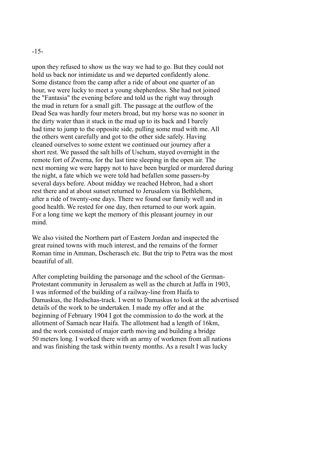## -15-

upon they refused to show us the way we had to go. But they could not hold us back nor intimidate us and we departed confidently alone. Some distance from the camp after a ride of about one quarter of an hour, we were lucky to meet a young shepherdess. She had not joined the "Fantasia" the evening before and told us the right way through the mud in return for a small gift. The passage at the outflow of the Dead Sea was hardly four meters broad, but my horse was no sooner in the dirty water than it stuck in the mud up to its back and I barely had time to jump to the opposite side, pulling some mud with me. All the others went carefully and got to the other side safely. Having cleaned ourselves to some extent we continued our journey after a short rest. We passed the salt hills of Uschum, stayed overnight in the remote fort of Zwerna, for the last time sleeping in the open air. The next morning we were happy not to have been burgled or murdered during the night, a fate which we were told had befallen some passers-by several days before. About midday we reached Hebron, had a short rest there and at about sunset returned to Jerusalem via Bethlehem, after a ride of twenty-one days. There we found our family well and in good health. We rested for one day, then returned to our work again. For a long time we kept the memory of this pleasant journey in our mind.

We also visited the Northern part of Eastern Jordan and inspected the great ruined towns with much interest, and the remains of the former Roman time in Amman, Dscherasch etc. But the trip to Petra was the most beautiful of all.

After completing building the parsonage and the school of the German-Protestant community in Jerusalem as well as the church at Jaffa in 1903, I was informed of the building of a railway-line from Haifa to Damaskus, the Hedschas-track. I went to Damaskus to look at the advertised details of the work to be undertaken. I made my offer and at the beginning of February 1904 I got the commission to do the work at the allotment of Samach near Haifa. The allotment had a length of 16km, and the work consisted of major earth moving and building a bridge 50 meters long. I worked there with an army of workmen from all nations and was finishing the task within twenty months. As a result I was lucky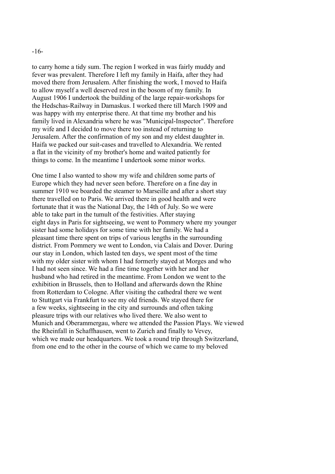-16-

to carry home a tidy sum. The region I worked in was fairly muddy and fever was prevalent. Therefore I left my family in Haifa, after they had moved there from Jerusalem. After finishing the work, I moved to Haifa to allow myself a well deserved rest in the bosom of my family. In August 1906 I undertook the building of the large repair-workshops for the Hedschas-Railway in Damaskus. I worked there till March 1909 and was happy with my enterprise there. At that time my brother and his family lived in Alexandria where he was "Municipal-Inspector". Therefore my wife and I decided to move there too instead of returning to Jerusalem. After the confirmation of my son and my eldest daughter in. Haifa we packed our suit-cases and travelled to Alexandria. We rented a flat in the vicinity of my brother's home and waited patiently for things to come. In the meantime I undertook some minor works.

One time I also wanted to show my wife and children some parts of Europe which they had never seen before. Therefore on a fine day in summer 1910 we boarded the steamer to Marseille and after a short stay there travelled on to Paris. We arrived there in good health and were fortunate that it was the National Day, the 14th of July. So we were able to take part in the tumult of the festivities. After staying eight days in Paris for sightseeing, we went to Pommery where my younger sister had some holidays for some time with her family. We had a pleasant time there spent on trips of various lengths in the surrounding district. From Pommery we went to London, via Calais and Dover. During our stay in London, which lasted ten days, we spent most of the time with my older sister with whom I had formerly stayed at Morges and who I had not seen since. We had a fine time together with her and her husband who had retired in the meantime. From London we went to the exhibition in Brussels, then to Holland and afterwards down the Rhine from Rotterdam to Cologne. After visiting the cathedral there we went to Stuttgart via Frankfurt to see my old friends. We stayed there for a few weeks, sightseeing in the city and surrounds and often taking pleasure trips with our relatives who lived there. We also went to Munich and Oberammergau, where we attended the Passion Plays. We viewed the Rheinfall in Schaffhausen, went to Zurich and finally to Vevey, which we made our headquarters. We took a round trip through Switzerland, from one end to the other in the course of which we came to my beloved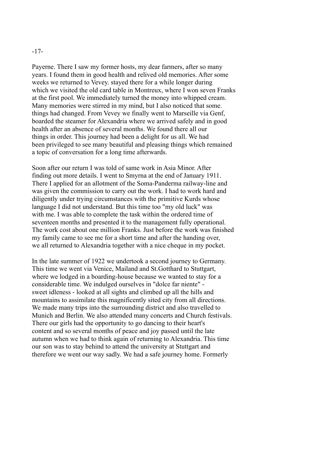### -17-

Payerne. There I saw my former hosts, my dear farmers, after so many years. I found them in good health and relived old memories. After some weeks we returned to Vevey. stayed there for a while longer during which we visited the old card table in Montreux, where I won seven Franks at the first pool. We immediately turned the money into whipped cream. Many memories were stirred in my mind, but I also noticed that some. things had changed. From Vevey we finally went to Marseille via Genf, boarded the steamer for Alexandria where we arrived safely and in good health after an absence of several months. We found there all our things in order. This journey had been a delight for us all. We had been privileged to see many beautiful and pleasing things which remained a topic of conversation for a long time afterwards.

Soon after our return I was told of same work in Asia Minor. After finding out more details. I went to Smyrna at the end of January 1911. There I applied for an allotment of the Soma-Panderma railway-line and was given the commission to carry out the work. I had to work hard and diligently under trying circumstances with the primitive Kurds whose language I did not understand. But this time too "my old luck" was with me. I was able to complete the task within the ordered time of seventeen months and presented it to the management fully operational. The work cost about one million Franks. Just before the work was finished my family came to see me for a short time and after the handing over, we all returned to Alexandria together with a nice cheque in my pocket.

In the late summer of 1922 we undertook a second journey to Germany. This time we went via Venice, Mailand and St.Gotthard to Stuttgart, where we lodged in a boarding-house because we wanted to stay for a considerable time. We indulged ourselves in "dolce far niente" sweet idleness - looked at all sights and climbed up all the hills and mountains to assimilate this magnificently sited city from all directions. We made many trips into the surrounding district and also travelled to Munich and Berlin. We also attended many concerts and Church festivals. There our girls had the opportunity to go dancing to their heart's content and so several months of peace and joy passed until the late autumn when we had to think again of returning to Alexandria. This time our son was to stay behind to attend the university at Stuttgart and therefore we went our way sadly. We had a safe journey home. Formerly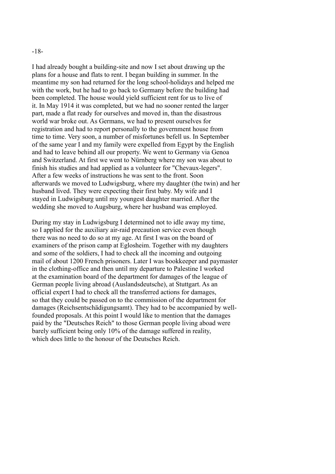#### -18-

I had already bought a building-site and now I set about drawing up the plans for a house and flats to rent. I began building in summer. In the meantime my son had returned for the long school-holidays and helped me with the work, but he had to go back to Germany before the building had been completed. The house would yield sufficient rent for us to live of it. In May 1914 it was completed, but we had no sooner rented the larger part, made a flat ready for ourselves and moved in, than the disastrous world war broke out. As Germans, we had to present ourselves for registration and had to report personally to the government house from time to time. Very soon, a number of misfortunes befell us. In September of the same year I and my family were expelled from Egypt by the English and had to leave behind all our property. We went to Germany via Genoa and Switzerland. At first we went to Nürnberg where my son was about to finish his studies and had applied as a volunteer for "Chevaux-legers". After a few weeks of instructions he was sent to the front. Soon afterwards we moved to Ludwigsburg, where my daughter (the twin) and her husband lived. They were expecting their first baby. My wife and I stayed in Ludwigsburg until my youngest daughter married. After the wedding she moved to Augsburg, where her husband was employed.

During my stay in Ludwigsburg I determined not to idle away my time, so I applied for the auxiliary air-raid precaution service even though there was no need to do so at my age. At first I was on the board of examiners of the prison camp at Eglosheim. Together with my daughters and some of the soldiers, I had to check all the incoming and outgoing mail of about 1200 French prisoners. Later I was bookkeeper and paymaster in the clothing-office and then until my departure to Palestine I worked at the examination board of the department for damages of the league of German people living abroad (Auslandsdeutsche), at Stuttgart. As an official expert I had to check all the transferred actions for damages, so that they could be passed on to the commission of the department for damages (Reichsentschädigungsamt). They had to be accompanied by wellfounded proposals. At this point I would like to mention that the damages paid by the "Deutsches Reich" to those German people living aboad were barely sufficient being only 10% of the damage suffered in reality, which does little to the honour of the Deutsches Reich.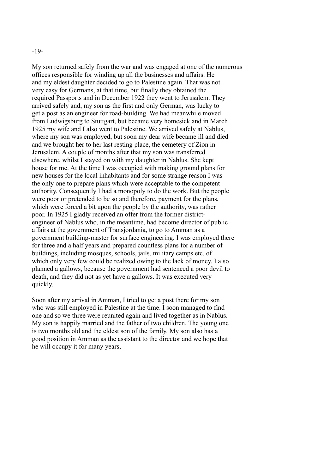## -19-

My son returned safely from the war and was engaged at one of the numerous offices responsible for winding up all the businesses and affairs. He and my eldest daughter decided to go to Palestine again. That was not very easy for Germans, at that time, but finally they obtained the required Passports and in December 1922 they went to Jerusalem. They arrived safely and, my son as the first and only German, was lucky to get a post as an engineer for road-building. We had meanwhile moved from Ludwigsburg to Stuttgart, but became very homesick and in March 1925 my wife and I also went to Palestine. We arrived safely at Nablus, where my son was employed, but soon my dear wife became ill and died and we brought her to her last resting place, the cemetery of Zion in Jerusalem. A couple of months after that my son was transferred elsewhere, whilst I stayed on with my daughter in Nablus. She kept house for me. At the time I was occupied with making ground plans for new houses for the local inhabitants and for some strange reason I was the only one to prepare plans which were acceptable to the competent authority. Consequently I had a monopoly to do the work. But the people were poor or pretended to be so and therefore, payment for the plans, which were forced a bit upon the people by the authority, was rather poor. In 1925 I gladly received an offer from the former districtengineer of Nablus who, in the meantime, had become director of public affairs at the government of Transjordania, to go to Amman as a government building-master for surface engineering. I was employed there for three and a half years and prepared countless plans for a number of buildings, including mosques, schools, jails, military camps etc. of which only very few could be realized owing to the lack of money. I also planned a gallows, because the government had sentenced a poor devil to death, and they did not as yet have a gallows. It was executed very quickly.

Soon after my arrival in Amman, I tried to get a post there for my son who was still employed in Palestine at the time. I soon managed to find one and so we three were reunited again and lived together as in Nablus. My son is happily married and the father of two children. The young one is two months old and the eldest son of the family. My son also has a good position in Amman as the assistant to the director and we hope that he will occupy it for many years,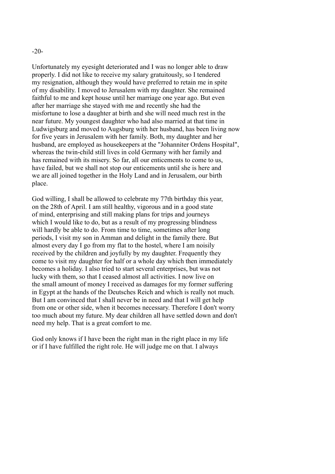Unfortunately my eyesight deteriorated and I was no longer able to draw properly. I did not like to receive my salary gratuitously, so I tendered my resignation, although they would have preferred to retain me in spite of my disability. I moved to Jerusalem with my daughter. She remained faithful to me and kept house until her marriage one year ago. But even after her marriage she stayed with me and recently she had the misfortune to lose a daughter at birth and she will need much rest in the near future. My youngest daughter who had also married at that time in Ludwigsburg and moved to Augsburg with her husband, has been living now for five years in Jerusalem with her family. Both, my daughter and her husband, are employed as housekeepers at the "Johanniter Ordens Hospital", whereas the twin-child still lives in cold Germany with her family and has remained with its misery. So far, all our enticements to come to us, have failed, but we shall not stop our enticements until she is here and we are all joined together in the Holy Land and in Jerusalem, our birth place.

God willing, I shall be allowed to celebrate my 77th birthday this year, on the 28th of April. I am still healthy, vigorous and in a good state of mind, enterprising and still making plans for trips and journeys which I would like to do, but as a result of my progressing blindness will hardly be able to do. From time to time, sometimes after long periods, I visit my son in Amman and delight in the family there. But almost every day I go from my flat to the hostel, where I am noisily received by the children and joyfully by my daughter. Frequently they come to visit my daughter for half or a whole day which then immediately becomes a holiday. I also tried to start several enterprises, but was not lucky with them, so that I ceased almost all activities. I now live on the small amount of money I received as damages for my former suffering in Egypt at the hands of the Deutsches Reich and which is really not much. But I am convinced that I shall never be in need and that I will get help from one or other side, when it becomes necessary. Therefore I don't worry too much about my future. My dear children all have settled down and don't need my help. That is a great comfort to me.

God only knows if I have been the right man in the right place in my life or if I have fulfilled the right role. He will judge me on that. I always

-20-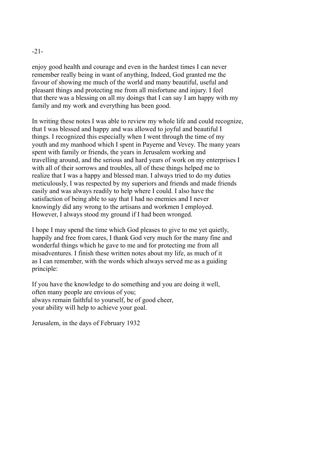# -21-

enjoy good health and courage and even in the hardest times I can never remember really being in want of anything, Indeed, God granted me the favour of showing me much of the world and many beautiful, useful and pleasant things and protecting me from all misfortune and injury. I feel that there was a blessing on all my doings that I can say I am happy with my family and my work and everything has been good.

In writing these notes I was able to review my whole life and could recognize, that I was blessed and happy and was allowed to joyful and beautiful I things. I recognized this especially when I went through the time of my youth and my manhood which I spent in Payerne and Vevey. The many years spent with family or friends, the years in Jerusalem working and travelling around, and the serious and hard years of work on my enterprises I with all of their sorrows and troubles, all of these things helped me to realize that I was a happy and blessed man. I always tried to do my duties meticulously, I was respected by my superiors and friends and made friends easily and was always readily to help where I could. I also have the satisfaction of being able to say that I had no enemies and I never knowingly did any wrong to the artisans and workmen I employed. However, I always stood my ground if I had been wronged.

I hope I may spend the time which God pleases to give to me yet quietly, happily and free from cares, I thank God very much for the many fine and wonderful things which he gave to me and for protecting me from all misadventures. I finish these written notes about my life, as much of it as I can remember, with the words which always served me as a guiding principle:

If you have the knowledge to do something and you are doing it well, often many people are envious of you; always remain faithful to yourself, be of good cheer, your ability will help to achieve your goal.

Jerusalem, in the days of February 1932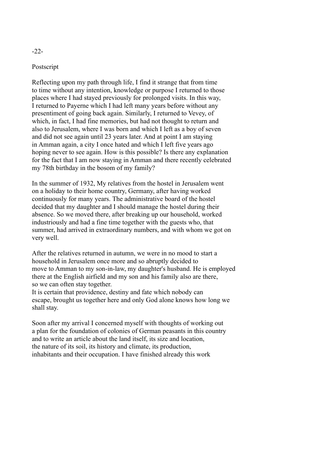## Postscript

Reflecting upon my path through life, I find it strange that from time to time without any intention, knowledge or purpose I returned to those places where I had stayed previously for prolonged visits. In this way, I returned to Payerne which I had left many years before without any presentiment of going back again. Similarly, I returned to Vevey, of which, in fact, I had fine memories, but had not thought to return and also to Jerusalem, where I was born and which I left as a boy of seven and did not see again until 23 years later. And at point I am staying in Amman again, a city I once hated and which I left five years ago hoping never to see again. How is this possible? Is there any explanation for the fact that I am now staying in Amman and there recently celebrated my 78th birthday in the bosom of my family?

In the summer of 1932, My relatives from the hostel in Jerusalem went on a holiday to their home country, Germany, after having worked continuously for many years. The administrative board of the hostel decided that my daughter and I should manage the hostel during their absence. So we moved there, after breaking up our household, worked industriously and had a fine time together with the guests who, that summer, had arrived in extraordinary numbers, and with whom we got on very well.

After the relatives returned in autumn, we were in no mood to start a household in Jerusalem once more and so abruptly decided to move to Amman to my son-in-law, my daughter's husband. He is employed there at the English airfield and my son and his family also are there, so we can often stay together.

It is certain that providence, destiny and fate which nobody can escape, brought us together here and only God alone knows how long we shall stay.

Soon after my arrival I concerned myself with thoughts of working out a plan for the foundation of colonies of German peasants in this country and to write an article about the land itself, its size and location, the nature of its soil, its history and climate, its production, inhabitants and their occupation. I have finished already this work

## -22-